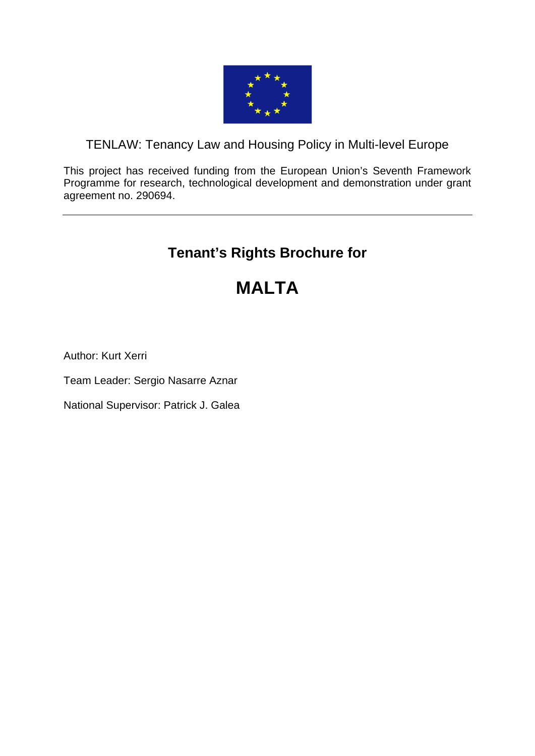

# TENLAW: Tenancy Law and Housing Policy in Multi-level Europe

This project has received funding from the European Union's Seventh Framework Programme for research, technological development and demonstration under grant agreement no. 290694.

# **Tenant's Rights Brochure for**

# **MALTA**

Author: Kurt Xerri

Team Leader: Sergio Nasarre Aznar

National Supervisor: Patrick J. Galea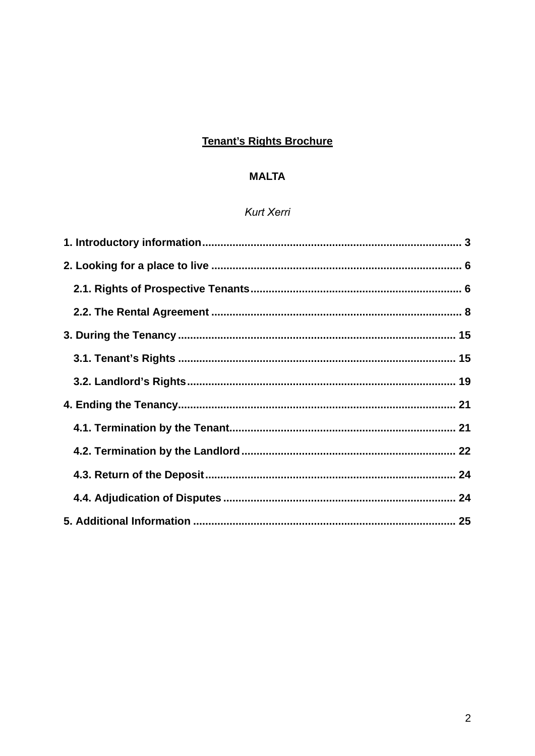# **Tenant's Rights Brochure**

# **MALTA**

# **Kurt Xerri**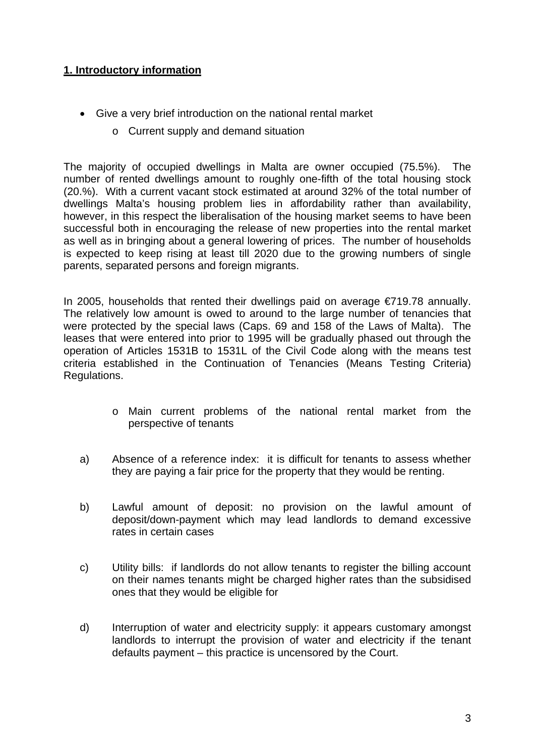#### **1. Introductory information**

- Give a very brief introduction on the national rental market
	- o Current supply and demand situation

The majority of occupied dwellings in Malta are owner occupied (75.5%). The number of rented dwellings amount to roughly one-fifth of the total housing stock (20.%). With a current vacant stock estimated at around 32% of the total number of dwellings Malta's housing problem lies in affordability rather than availability, however, in this respect the liberalisation of the housing market seems to have been successful both in encouraging the release of new properties into the rental market as well as in bringing about a general lowering of prices. The number of households is expected to keep rising at least till 2020 due to the growing numbers of single parents, separated persons and foreign migrants.

In 2005, households that rented their dwellings paid on average €719.78 annually. The relatively low amount is owed to around to the large number of tenancies that were protected by the special laws (Caps. 69 and 158 of the Laws of Malta). The leases that were entered into prior to 1995 will be gradually phased out through the operation of Articles 1531B to 1531L of the Civil Code along with the means test criteria established in the Continuation of Tenancies (Means Testing Criteria) Regulations.

- o Main current problems of the national rental market from the perspective of tenants
- a) Absence of a reference index: it is difficult for tenants to assess whether they are paying a fair price for the property that they would be renting.
- b) Lawful amount of deposit: no provision on the lawful amount of deposit/down-payment which may lead landlords to demand excessive rates in certain cases
- c) Utility bills: if landlords do not allow tenants to register the billing account on their names tenants might be charged higher rates than the subsidised ones that they would be eligible for
- d) Interruption of water and electricity supply: it appears customary amongst landlords to interrupt the provision of water and electricity if the tenant defaults payment – this practice is uncensored by the Court.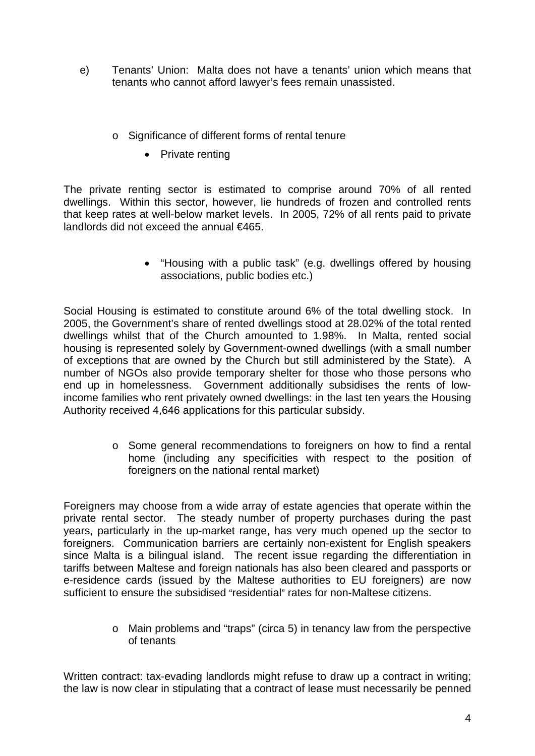- e) Tenants' Union: Malta does not have a tenants' union which means that tenants who cannot afford lawyer's fees remain unassisted.
	- o Significance of different forms of rental tenure
		- Private renting

The private renting sector is estimated to comprise around 70% of all rented dwellings. Within this sector, however, lie hundreds of frozen and controlled rents that keep rates at well-below market levels. In 2005, 72% of all rents paid to private landlords did not exceed the annual €465.

> "Housing with a public task" (e.g. dwellings offered by housing associations, public bodies etc.)

Social Housing is estimated to constitute around 6% of the total dwelling stock. In 2005, the Government's share of rented dwellings stood at 28.02% of the total rented dwellings whilst that of the Church amounted to 1.98%. In Malta, rented social housing is represented solely by Government-owned dwellings (with a small number of exceptions that are owned by the Church but still administered by the State). A number of NGOs also provide temporary shelter for those who those persons who end up in homelessness. Government additionally subsidises the rents of lowincome families who rent privately owned dwellings: in the last ten years the Housing Authority received 4,646 applications for this particular subsidy.

> o Some general recommendations to foreigners on how to find a rental home (including any specificities with respect to the position of foreigners on the national rental market)

Foreigners may choose from a wide array of estate agencies that operate within the private rental sector. The steady number of property purchases during the past years, particularly in the up-market range, has very much opened up the sector to foreigners. Communication barriers are certainly non-existent for English speakers since Malta is a bilingual island. The recent issue regarding the differentiation in tariffs between Maltese and foreign nationals has also been cleared and passports or e-residence cards (issued by the Maltese authorities to EU foreigners) are now sufficient to ensure the subsidised "residential" rates for non-Maltese citizens.

> o Main problems and "traps" (circa 5) in tenancy law from the perspective of tenants

Written contract: tax-evading landlords might refuse to draw up a contract in writing; the law is now clear in stipulating that a contract of lease must necessarily be penned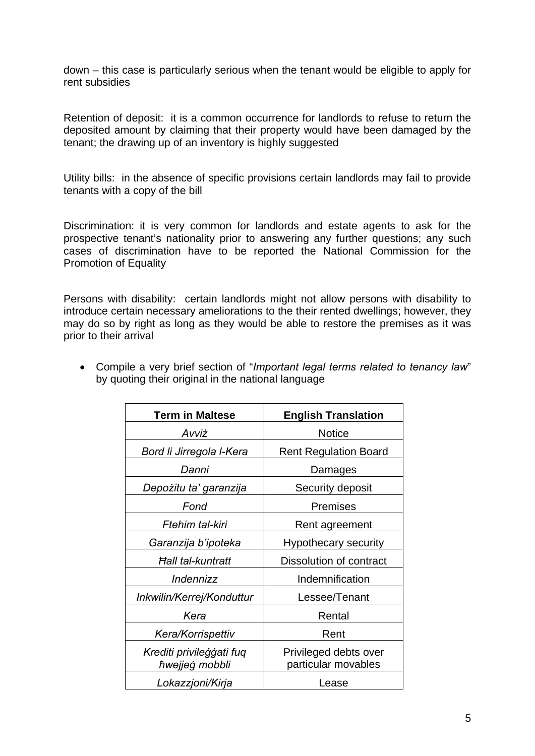down – this case is particularly serious when the tenant would be eligible to apply for rent subsidies

Retention of deposit: it is a common occurrence for landlords to refuse to return the deposited amount by claiming that their property would have been damaged by the tenant; the drawing up of an inventory is highly suggested

Utility bills: in the absence of specific provisions certain landlords may fail to provide tenants with a copy of the bill

Discrimination: it is very common for landlords and estate agents to ask for the prospective tenant's nationality prior to answering any further questions; any such cases of discrimination have to be reported the National Commission for the Promotion of Equality

Persons with disability: certain landlords might not allow persons with disability to introduce certain necessary ameliorations to the their rented dwellings; however, they may do so by right as long as they would be able to restore the premises as it was prior to their arrival

| <b>Term in Maltese</b>                     | <b>English Translation</b>                   |
|--------------------------------------------|----------------------------------------------|
| Avviż                                      | <b>Notice</b>                                |
| Bord li Jirregola I-Kera                   | <b>Rent Regulation Board</b>                 |
| Danni                                      | Damages                                      |
| Depożitu ta' garanzija                     | Security deposit                             |
| Fond                                       | <b>Premises</b>                              |
| Ftehim tal-kiri                            | Rent agreement                               |
| Garanzija b'ipoteka                        | Hypothecary security                         |
| <b>Hall tal-kuntratt</b>                   | Dissolution of contract                      |
| Indennizz                                  | Indemnification                              |
| Inkwilin/Kerrej/Konduttur                  | Lessee/Tenant                                |
| Kera                                       | Rental                                       |
| Kera/Korrispettiv                          | Rent                                         |
| Krediti privileģģati fuq<br>hwejjeg mobbli | Privileged debts over<br>particular movables |
| Lokazzjoni/Kirja                           | Lease                                        |

 Compile a very brief section of "*Important legal terms related to tenancy law*" by quoting their original in the national language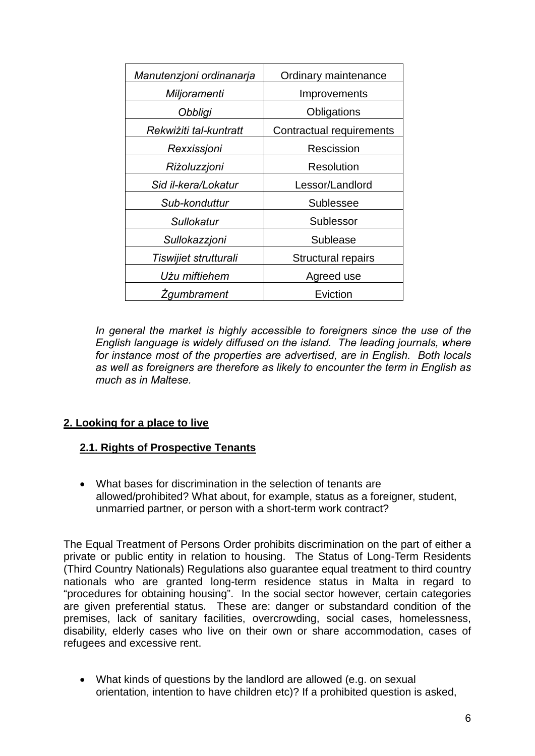| Manutenzjoni ordinanarja | Ordinary maintenance     |
|--------------------------|--------------------------|
| Miljoramenti             | Improvements             |
| Obbligi                  | Obligations              |
| Rekwiżiti tal-kuntratt   | Contractual requirements |
| Rexxissjoni              | Rescission               |
| Riżoluzzjoni             | Resolution               |
| Sid il-kera/Lokatur      | Lessor/Landlord          |
| Sub-konduttur            | <b>Sublessee</b>         |
| <b>Sullokatur</b>        | Sublessor                |
| Sullokazzjoni            | Sublease                 |
| Tiswijiet strutturali    | Structural repairs       |
| Użu miftiehem            | Agreed use               |
| <b>Zgumbrament</b>       | Eviction                 |

In general the market is highly accessible to foreigners since the use of the *English language is widely diffused on the island. The leading journals, where for instance most of the properties are advertised, are in English. Both locals as well as foreigners are therefore as likely to encounter the term in English as much as in Maltese.* 

### **2. Looking for a place to live**

#### **2.1. Rights of Prospective Tenants**

 What bases for discrimination in the selection of tenants are allowed/prohibited? What about, for example, status as a foreigner, student, unmarried partner, or person with a short-term work contract?

The Equal Treatment of Persons Order prohibits discrimination on the part of either a private or public entity in relation to housing. The Status of Long-Term Residents (Third Country Nationals) Regulations also guarantee equal treatment to third country nationals who are granted long-term residence status in Malta in regard to "procedures for obtaining housing". In the social sector however, certain categories are given preferential status. These are: danger or substandard condition of the premises, lack of sanitary facilities, overcrowding, social cases, homelessness, disability, elderly cases who live on their own or share accommodation, cases of refugees and excessive rent.

 What kinds of questions by the landlord are allowed (e.g. on sexual orientation, intention to have children etc)? If a prohibited question is asked,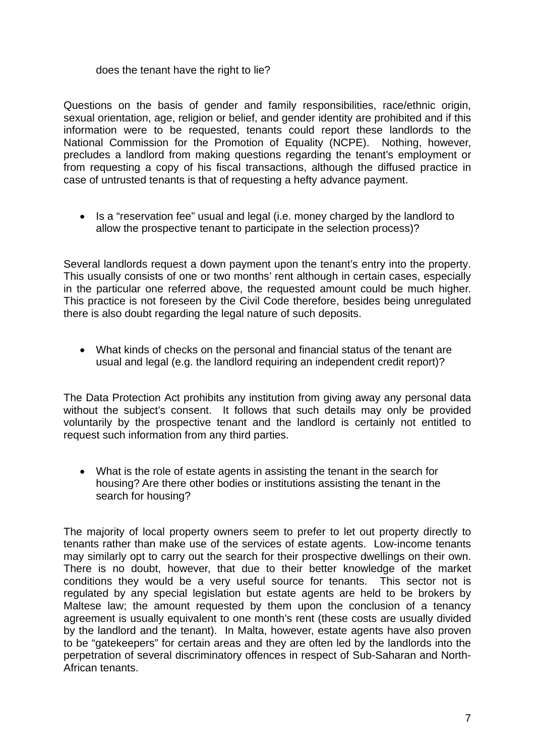#### does the tenant have the right to lie?

Questions on the basis of gender and family responsibilities, race/ethnic origin, sexual orientation, age, religion or belief, and gender identity are prohibited and if this information were to be requested, tenants could report these landlords to the National Commission for the Promotion of Equality (NCPE). Nothing, however, precludes a landlord from making questions regarding the tenant's employment or from requesting a copy of his fiscal transactions, although the diffused practice in case of untrusted tenants is that of requesting a hefty advance payment.

• Is a "reservation fee" usual and legal (i.e. money charged by the landlord to allow the prospective tenant to participate in the selection process)?

Several landlords request a down payment upon the tenant's entry into the property. This usually consists of one or two months' rent although in certain cases, especially in the particular one referred above, the requested amount could be much higher. This practice is not foreseen by the Civil Code therefore, besides being unregulated there is also doubt regarding the legal nature of such deposits.

 What kinds of checks on the personal and financial status of the tenant are usual and legal (e.g. the landlord requiring an independent credit report)?

The Data Protection Act prohibits any institution from giving away any personal data without the subject's consent. It follows that such details may only be provided voluntarily by the prospective tenant and the landlord is certainly not entitled to request such information from any third parties.

 What is the role of estate agents in assisting the tenant in the search for housing? Are there other bodies or institutions assisting the tenant in the search for housing?

The majority of local property owners seem to prefer to let out property directly to tenants rather than make use of the services of estate agents. Low-income tenants may similarly opt to carry out the search for their prospective dwellings on their own. There is no doubt, however, that due to their better knowledge of the market conditions they would be a very useful source for tenants. This sector not is regulated by any special legislation but estate agents are held to be brokers by Maltese law; the amount requested by them upon the conclusion of a tenancy agreement is usually equivalent to one month's rent (these costs are usually divided by the landlord and the tenant). In Malta, however, estate agents have also proven to be "gatekeepers" for certain areas and they are often led by the landlords into the perpetration of several discriminatory offences in respect of Sub-Saharan and North-African tenants.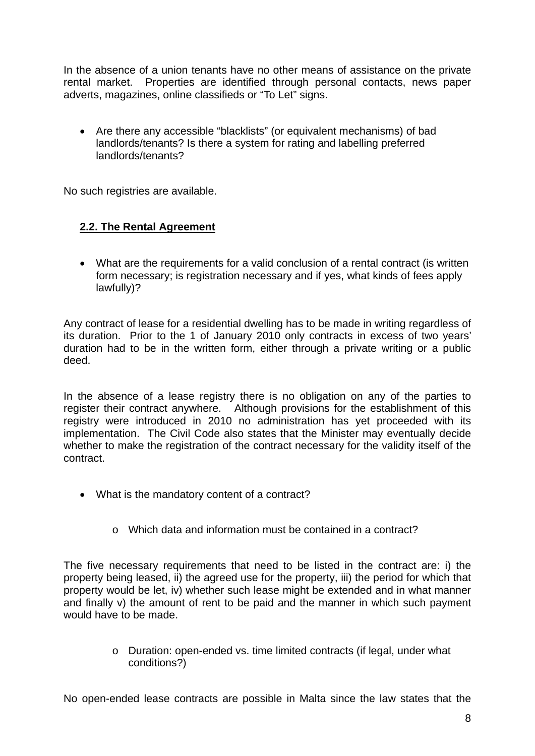In the absence of a union tenants have no other means of assistance on the private rental market. Properties are identified through personal contacts, news paper adverts, magazines, online classifieds or "To Let" signs.

 Are there any accessible "blacklists" (or equivalent mechanisms) of bad landlords/tenants? Is there a system for rating and labelling preferred landlords/tenants?

No such registries are available.

#### **2.2. The Rental Agreement**

 What are the requirements for a valid conclusion of a rental contract (is written form necessary; is registration necessary and if yes, what kinds of fees apply lawfully)?

Any contract of lease for a residential dwelling has to be made in writing regardless of its duration. Prior to the 1 of January 2010 only contracts in excess of two years' duration had to be in the written form, either through a private writing or a public deed.

In the absence of a lease registry there is no obligation on any of the parties to register their contract anywhere. Although provisions for the establishment of this registry were introduced in 2010 no administration has yet proceeded with its implementation. The Civil Code also states that the Minister may eventually decide whether to make the registration of the contract necessary for the validity itself of the contract.

- What is the mandatory content of a contract?
	- o Which data and information must be contained in a contract?

The five necessary requirements that need to be listed in the contract are: i) the property being leased, ii) the agreed use for the property, iii) the period for which that property would be let, iv) whether such lease might be extended and in what manner and finally v) the amount of rent to be paid and the manner in which such payment would have to be made.

> o Duration: open-ended vs. time limited contracts (if legal, under what conditions?)

No open-ended lease contracts are possible in Malta since the law states that the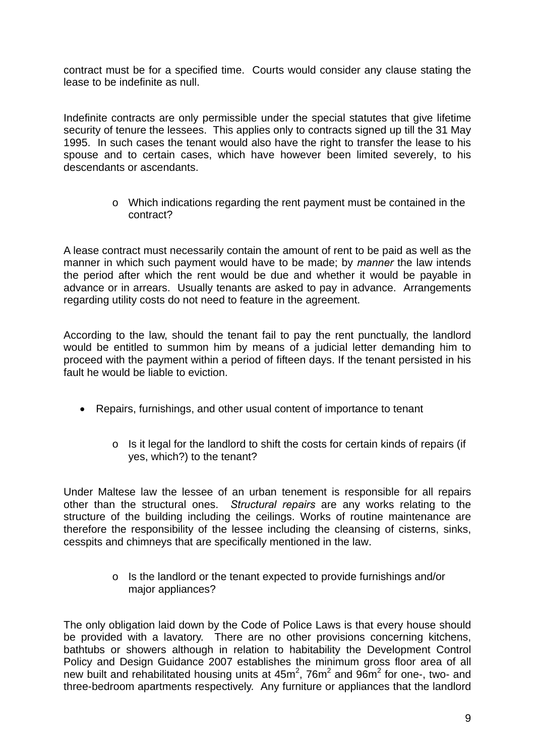contract must be for a specified time. Courts would consider any clause stating the lease to be indefinite as null.

Indefinite contracts are only permissible under the special statutes that give lifetime security of tenure the lessees. This applies only to contracts signed up till the 31 May 1995. In such cases the tenant would also have the right to transfer the lease to his spouse and to certain cases, which have however been limited severely, to his descendants or ascendants.

> o Which indications regarding the rent payment must be contained in the contract?

A lease contract must necessarily contain the amount of rent to be paid as well as the manner in which such payment would have to be made; by *manner* the law intends the period after which the rent would be due and whether it would be payable in advance or in arrears. Usually tenants are asked to pay in advance. Arrangements regarding utility costs do not need to feature in the agreement.

According to the law, should the tenant fail to pay the rent punctually, the landlord would be entitled to summon him by means of a judicial letter demanding him to proceed with the payment within a period of fifteen days. If the tenant persisted in his fault he would be liable to eviction.

- Repairs, furnishings, and other usual content of importance to tenant
	- o Is it legal for the landlord to shift the costs for certain kinds of repairs (if yes, which?) to the tenant?

Under Maltese law the lessee of an urban tenement is responsible for all repairs other than the structural ones. *Structural repairs* are any works relating to the structure of the building including the ceilings. Works of routine maintenance are therefore the responsibility of the lessee including the cleansing of cisterns, sinks, cesspits and chimneys that are specifically mentioned in the law.

> o Is the landlord or the tenant expected to provide furnishings and/or major appliances?

The only obligation laid down by the Code of Police Laws is that every house should be provided with a lavatory. There are no other provisions concerning kitchens, bathtubs or showers although in relation to habitability the Development Control Policy and Design Guidance 2007 establishes the minimum gross floor area of all new built and rehabilitated housing units at  $45m^2$ , 76 $m^2$  and 96 $m^2$  for one-, two- and three-bedroom apartments respectively. Any furniture or appliances that the landlord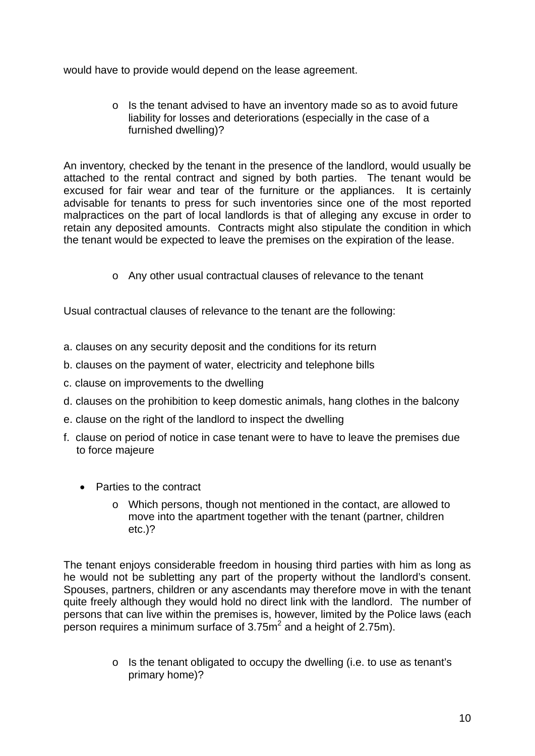would have to provide would depend on the lease agreement.

o Is the tenant advised to have an inventory made so as to avoid future liability for losses and deteriorations (especially in the case of a furnished dwelling)?

An inventory, checked by the tenant in the presence of the landlord, would usually be attached to the rental contract and signed by both parties. The tenant would be excused for fair wear and tear of the furniture or the appliances. It is certainly advisable for tenants to press for such inventories since one of the most reported malpractices on the part of local landlords is that of alleging any excuse in order to retain any deposited amounts. Contracts might also stipulate the condition in which the tenant would be expected to leave the premises on the expiration of the lease.

o Any other usual contractual clauses of relevance to the tenant

Usual contractual clauses of relevance to the tenant are the following:

- a. clauses on any security deposit and the conditions for its return
- b. clauses on the payment of water, electricity and telephone bills
- c. clause on improvements to the dwelling
- d. clauses on the prohibition to keep domestic animals, hang clothes in the balcony
- e. clause on the right of the landlord to inspect the dwelling
- f. clause on period of notice in case tenant were to have to leave the premises due to force majeure
	- Parties to the contract
		- o Which persons, though not mentioned in the contact, are allowed to move into the apartment together with the tenant (partner, children etc.)?

The tenant enjoys considerable freedom in housing third parties with him as long as he would not be subletting any part of the property without the landlord's consent. Spouses, partners, children or any ascendants may therefore move in with the tenant quite freely although they would hold no direct link with the landlord. The number of persons that can live within the premises is, however, limited by the Police laws (each person requires a minimum surface of 3.75 $m<sup>2</sup>$  and a height of 2.75m).

> o Is the tenant obligated to occupy the dwelling (i.e. to use as tenant's primary home)?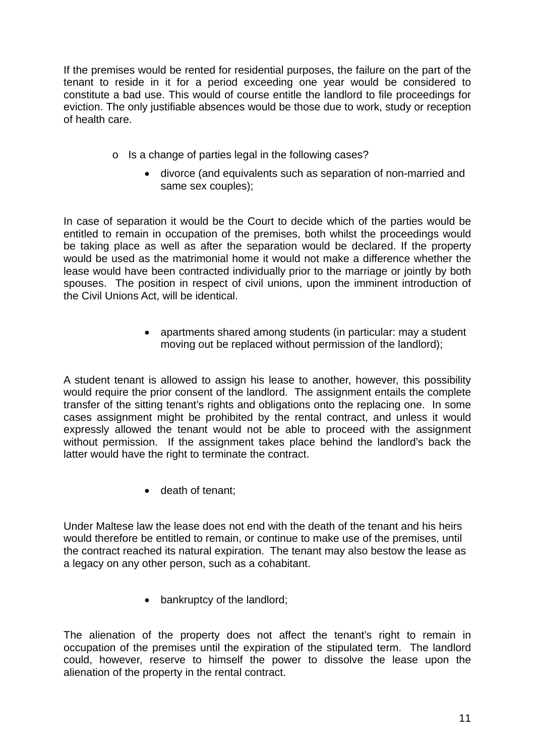If the premises would be rented for residential purposes, the failure on the part of the tenant to reside in it for a period exceeding one year would be considered to constitute a bad use. This would of course entitle the landlord to file proceedings for eviction. The only justifiable absences would be those due to work, study or reception of health care.

- o Is a change of parties legal in the following cases?
	- divorce (and equivalents such as separation of non-married and same sex couples);

In case of separation it would be the Court to decide which of the parties would be entitled to remain in occupation of the premises, both whilst the proceedings would be taking place as well as after the separation would be declared. If the property would be used as the matrimonial home it would not make a difference whether the lease would have been contracted individually prior to the marriage or jointly by both spouses. The position in respect of civil unions, upon the imminent introduction of the Civil Unions Act, will be identical.

> apartments shared among students (in particular: may a student moving out be replaced without permission of the landlord);

A student tenant is allowed to assign his lease to another, however, this possibility would require the prior consent of the landlord. The assignment entails the complete transfer of the sitting tenant's rights and obligations onto the replacing one. In some cases assignment might be prohibited by the rental contract, and unless it would expressly allowed the tenant would not be able to proceed with the assignment without permission. If the assignment takes place behind the landlord's back the latter would have the right to terminate the contract.

• death of tenant:

Under Maltese law the lease does not end with the death of the tenant and his heirs would therefore be entitled to remain, or continue to make use of the premises, until the contract reached its natural expiration. The tenant may also bestow the lease as a legacy on any other person, such as a cohabitant.

• bankruptcy of the landlord;

The alienation of the property does not affect the tenant's right to remain in occupation of the premises until the expiration of the stipulated term. The landlord could, however, reserve to himself the power to dissolve the lease upon the alienation of the property in the rental contract.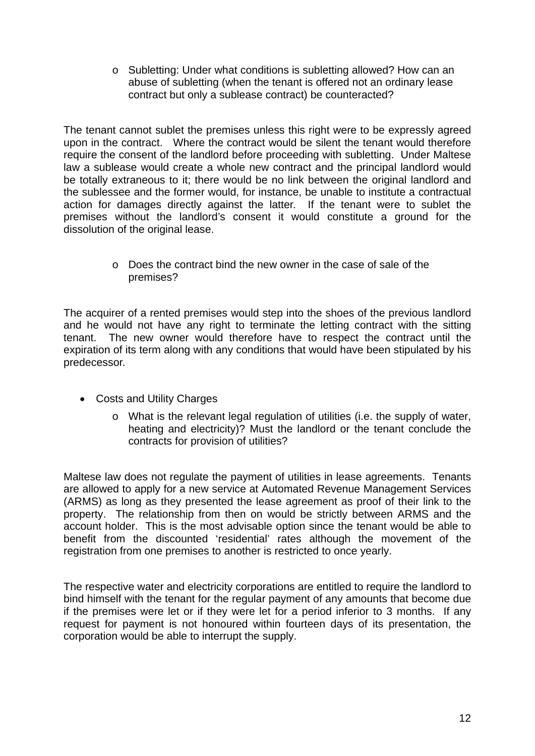o Subletting: Under what conditions is subletting allowed? How can an abuse of subletting (when the tenant is offered not an ordinary lease contract but only a sublease contract) be counteracted?

The tenant cannot sublet the premises unless this right were to be expressly agreed upon in the contract. Where the contract would be silent the tenant would therefore require the consent of the landlord before proceeding with subletting. Under Maltese law a sublease would create a whole new contract and the principal landlord would be totally extraneous to it; there would be no link between the original landlord and the sublessee and the former would, for instance, be unable to institute a contractual action for damages directly against the latter. If the tenant were to sublet the premises without the landlord's consent it would constitute a ground for the dissolution of the original lease.

> o Does the contract bind the new owner in the case of sale of the premises?

The acquirer of a rented premises would step into the shoes of the previous landlord and he would not have any right to terminate the letting contract with the sitting tenant. The new owner would therefore have to respect the contract until the expiration of its term along with any conditions that would have been stipulated by his predecessor.

- Costs and Utility Charges
	- o What is the relevant legal regulation of utilities (i.e. the supply of water, heating and electricity)? Must the landlord or the tenant conclude the contracts for provision of utilities?

Maltese law does not regulate the payment of utilities in lease agreements. Tenants are allowed to apply for a new service at Automated Revenue Management Services (ARMS) as long as they presented the lease agreement as proof of their link to the property. The relationship from then on would be strictly between ARMS and the account holder. This is the most advisable option since the tenant would be able to benefit from the discounted 'residential' rates although the movement of the registration from one premises to another is restricted to once yearly.

The respective water and electricity corporations are entitled to require the landlord to bind himself with the tenant for the regular payment of any amounts that become due if the premises were let or if they were let for a period inferior to 3 months. If any request for payment is not honoured within fourteen days of its presentation, the corporation would be able to interrupt the supply.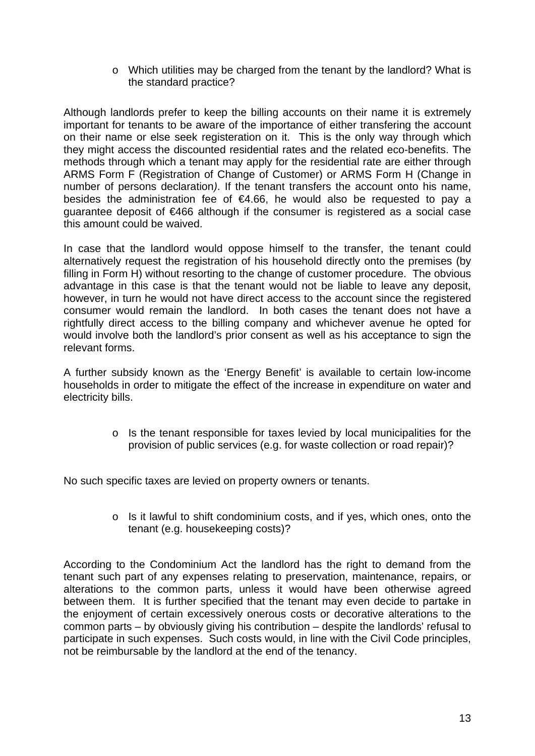o Which utilities may be charged from the tenant by the landlord? What is the standard practice?

Although landlords prefer to keep the billing accounts on their name it is extremely important for tenants to be aware of the importance of either transfering the account on their name or else seek registeration on it. This is the only way through which they might access the discounted residential rates and the related eco-benefits. The methods through which a tenant may apply for the residential rate are either through ARMS Form F (Registration of Change of Customer) or ARMS Form H (Change in number of persons declaration*)*. If the tenant transfers the account onto his name, besides the administration fee of €4.66, he would also be requested to pay a quarantee deposit of €466 although if the consumer is registered as a social case this amount could be waived.

In case that the landlord would oppose himself to the transfer, the tenant could alternatively request the registration of his household directly onto the premises (by filling in Form H) without resorting to the change of customer procedure. The obvious advantage in this case is that the tenant would not be liable to leave any deposit, however, in turn he would not have direct access to the account since the registered consumer would remain the landlord. In both cases the tenant does not have a rightfully direct access to the billing company and whichever avenue he opted for would involve both the landlord's prior consent as well as his acceptance to sign the relevant forms.

A further subsidy known as the 'Energy Benefit' is available to certain low-income households in order to mitigate the effect of the increase in expenditure on water and electricity bills.

> o Is the tenant responsible for taxes levied by local municipalities for the provision of public services (e.g. for waste collection or road repair)?

No such specific taxes are levied on property owners or tenants.

o Is it lawful to shift condominium costs, and if yes, which ones, onto the tenant (e.g. housekeeping costs)?

According to the Condominium Act the landlord has the right to demand from the tenant such part of any expenses relating to preservation, maintenance, repairs, or alterations to the common parts, unless it would have been otherwise agreed between them. It is further specified that the tenant may even decide to partake in the enjoyment of certain excessively onerous costs or decorative alterations to the common parts – by obviously giving his contribution – despite the landlords' refusal to participate in such expenses. Such costs would, in line with the Civil Code principles, not be reimbursable by the landlord at the end of the tenancy.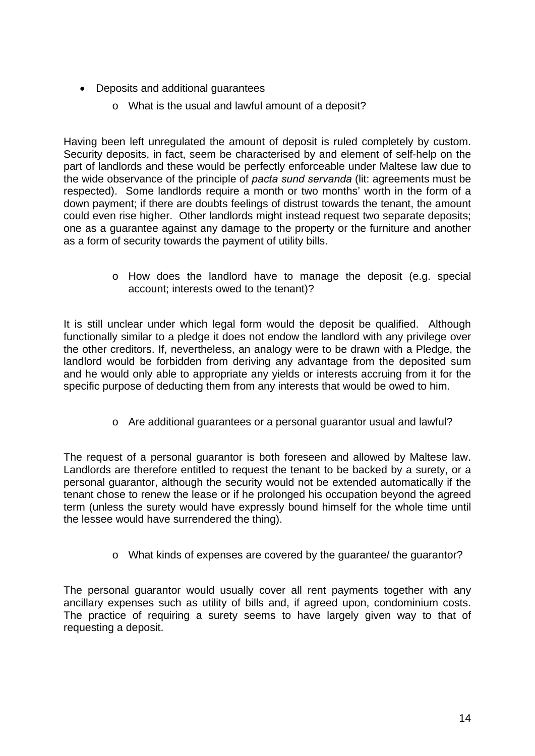- Deposits and additional quarantees
	- o What is the usual and lawful amount of a deposit?

Having been left unregulated the amount of deposit is ruled completely by custom. Security deposits, in fact, seem be characterised by and element of self-help on the part of landlords and these would be perfectly enforceable under Maltese law due to the wide observance of the principle of *pacta sund servanda* (lit: agreements must be respected). Some landlords require a month or two months' worth in the form of a down payment; if there are doubts feelings of distrust towards the tenant, the amount could even rise higher. Other landlords might instead request two separate deposits; one as a guarantee against any damage to the property or the furniture and another as a form of security towards the payment of utility bills.

> o How does the landlord have to manage the deposit (e.g. special account; interests owed to the tenant)?

It is still unclear under which legal form would the deposit be qualified. Although functionally similar to a pledge it does not endow the landlord with any privilege over the other creditors. If, nevertheless, an analogy were to be drawn with a Pledge, the landlord would be forbidden from deriving any advantage from the deposited sum and he would only able to appropriate any yields or interests accruing from it for the specific purpose of deducting them from any interests that would be owed to him.

o Are additional guarantees or a personal guarantor usual and lawful?

The request of a personal guarantor is both foreseen and allowed by Maltese law. Landlords are therefore entitled to request the tenant to be backed by a surety, or a personal guarantor, although the security would not be extended automatically if the tenant chose to renew the lease or if he prolonged his occupation beyond the agreed term (unless the surety would have expressly bound himself for the whole time until the lessee would have surrendered the thing).

o What kinds of expenses are covered by the guarantee/ the guarantor?

The personal guarantor would usually cover all rent payments together with any ancillary expenses such as utility of bills and, if agreed upon, condominium costs. The practice of requiring a surety seems to have largely given way to that of requesting a deposit.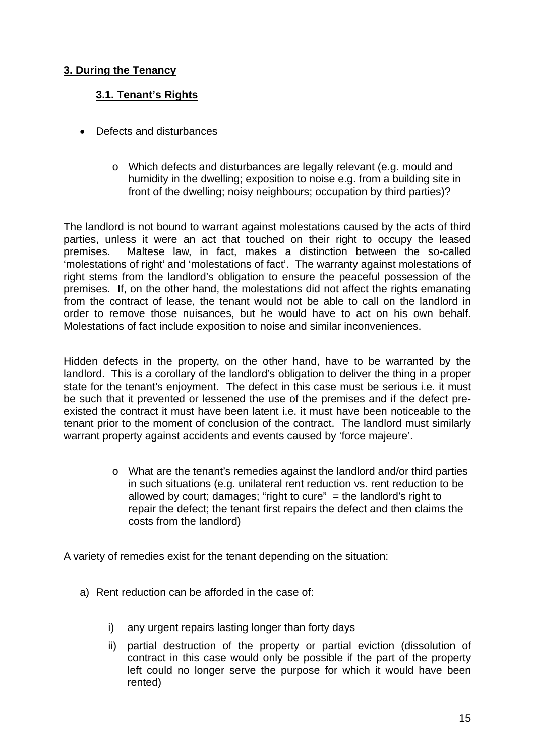#### **3. During the Tenancy**

#### **3.1. Tenant's Rights**

- Defects and disturbances
	- o Which defects and disturbances are legally relevant (e.g. mould and humidity in the dwelling; exposition to noise e.g. from a building site in front of the dwelling; noisy neighbours; occupation by third parties)?

The landlord is not bound to warrant against molestations caused by the acts of third parties, unless it were an act that touched on their right to occupy the leased premises. Maltese law, in fact, makes a distinction between the so-called 'molestations of right' and 'molestations of fact'. The warranty against molestations of right stems from the landlord's obligation to ensure the peaceful possession of the premises. If, on the other hand, the molestations did not affect the rights emanating from the contract of lease, the tenant would not be able to call on the landlord in order to remove those nuisances, but he would have to act on his own behalf. Molestations of fact include exposition to noise and similar inconveniences.

Hidden defects in the property, on the other hand, have to be warranted by the landlord. This is a corollary of the landlord's obligation to deliver the thing in a proper state for the tenant's enjoyment. The defect in this case must be serious i.e. it must be such that it prevented or lessened the use of the premises and if the defect preexisted the contract it must have been latent i.e. it must have been noticeable to the tenant prior to the moment of conclusion of the contract. The landlord must similarly warrant property against accidents and events caused by 'force majeure'.

> $\circ$  What are the tenant's remedies against the landlord and/or third parties in such situations (e.g. unilateral rent reduction vs. rent reduction to be allowed by court; damages; "right to cure"  $=$  the landlord's right to repair the defect; the tenant first repairs the defect and then claims the costs from the landlord)

A variety of remedies exist for the tenant depending on the situation:

- a) Rent reduction can be afforded in the case of:
	- i) any urgent repairs lasting longer than forty days
	- ii) partial destruction of the property or partial eviction (dissolution of contract in this case would only be possible if the part of the property left could no longer serve the purpose for which it would have been rented)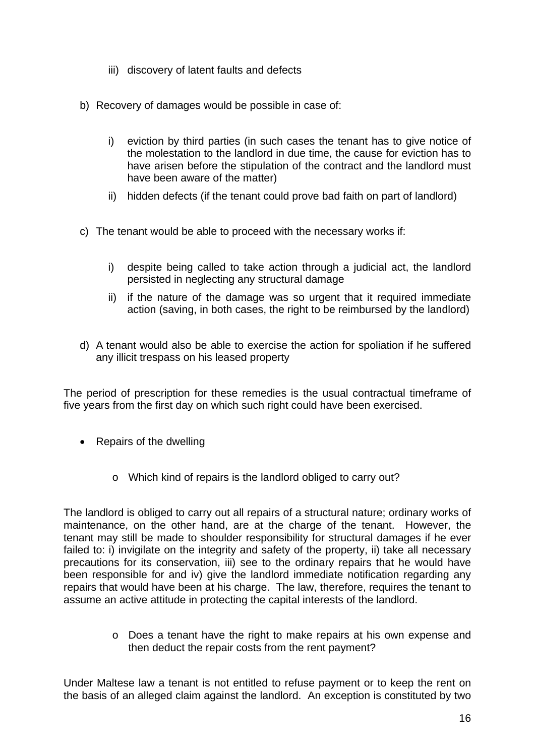- iii) discovery of latent faults and defects
- b) Recovery of damages would be possible in case of:
	- i) eviction by third parties (in such cases the tenant has to give notice of the molestation to the landlord in due time, the cause for eviction has to have arisen before the stipulation of the contract and the landlord must have been aware of the matter)
	- ii) hidden defects (if the tenant could prove bad faith on part of landlord)
- c) The tenant would be able to proceed with the necessary works if:
	- i) despite being called to take action through a judicial act, the landlord persisted in neglecting any structural damage
	- ii) if the nature of the damage was so urgent that it required immediate action (saving, in both cases, the right to be reimbursed by the landlord)
- d) A tenant would also be able to exercise the action for spoliation if he suffered any illicit trespass on his leased property

The period of prescription for these remedies is the usual contractual timeframe of five years from the first day on which such right could have been exercised.

- Repairs of the dwelling
	- o Which kind of repairs is the landlord obliged to carry out?

The landlord is obliged to carry out all repairs of a structural nature; ordinary works of maintenance, on the other hand, are at the charge of the tenant. However, the tenant may still be made to shoulder responsibility for structural damages if he ever failed to: i) invigilate on the integrity and safety of the property, ii) take all necessary precautions for its conservation, iii) see to the ordinary repairs that he would have been responsible for and iv) give the landlord immediate notification regarding any repairs that would have been at his charge. The law, therefore, requires the tenant to assume an active attitude in protecting the capital interests of the landlord.

> $\circ$  Does a tenant have the right to make repairs at his own expense and then deduct the repair costs from the rent payment?

Under Maltese law a tenant is not entitled to refuse payment or to keep the rent on the basis of an alleged claim against the landlord. An exception is constituted by two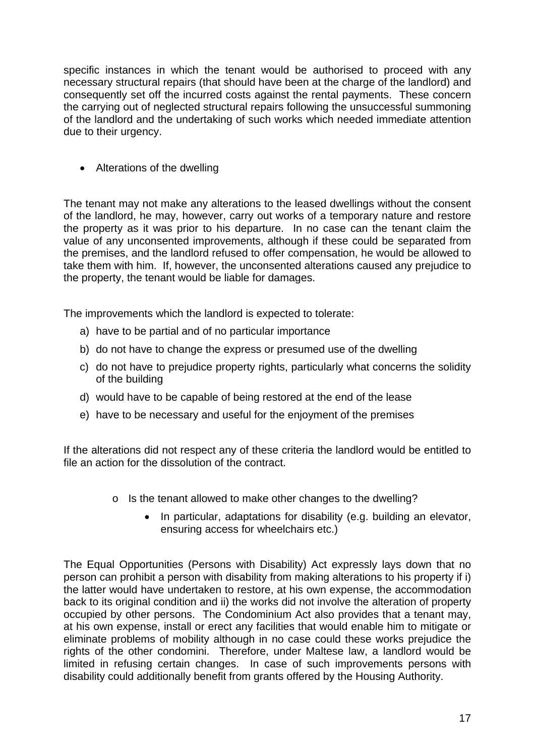specific instances in which the tenant would be authorised to proceed with any necessary structural repairs (that should have been at the charge of the landlord) and consequently set off the incurred costs against the rental payments. These concern the carrying out of neglected structural repairs following the unsuccessful summoning of the landlord and the undertaking of such works which needed immediate attention due to their urgency.

• Alterations of the dwelling

The tenant may not make any alterations to the leased dwellings without the consent of the landlord, he may, however, carry out works of a temporary nature and restore the property as it was prior to his departure. In no case can the tenant claim the value of any unconsented improvements, although if these could be separated from the premises, and the landlord refused to offer compensation, he would be allowed to take them with him. If, however, the unconsented alterations caused any prejudice to the property, the tenant would be liable for damages.

The improvements which the landlord is expected to tolerate:

- a) have to be partial and of no particular importance
- b) do not have to change the express or presumed use of the dwelling
- c) do not have to prejudice property rights, particularly what concerns the solidity of the building
- d) would have to be capable of being restored at the end of the lease
- e) have to be necessary and useful for the enjoyment of the premises

If the alterations did not respect any of these criteria the landlord would be entitled to file an action for the dissolution of the contract.

- o Is the tenant allowed to make other changes to the dwelling?
	- In particular, adaptations for disability (e.g. building an elevator, ensuring access for wheelchairs etc.)

The Equal Opportunities (Persons with Disability) Act expressly lays down that no person can prohibit a person with disability from making alterations to his property if i) the latter would have undertaken to restore, at his own expense, the accommodation back to its original condition and ii) the works did not involve the alteration of property occupied by other persons. The Condominium Act also provides that a tenant may, at his own expense, install or erect any facilities that would enable him to mitigate or eliminate problems of mobility although in no case could these works prejudice the rights of the other condomini. Therefore, under Maltese law, a landlord would be limited in refusing certain changes. In case of such improvements persons with disability could additionally benefit from grants offered by the Housing Authority.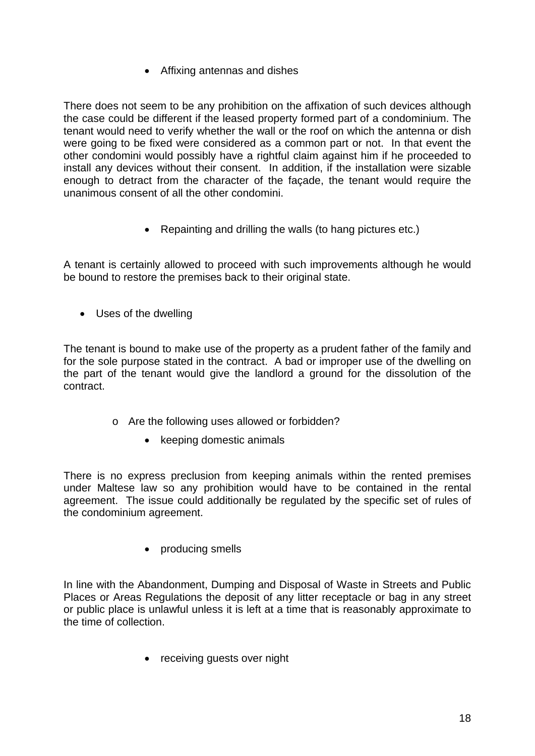Affixing antennas and dishes

There does not seem to be any prohibition on the affixation of such devices although the case could be different if the leased property formed part of a condominium. The tenant would need to verify whether the wall or the roof on which the antenna or dish were going to be fixed were considered as a common part or not. In that event the other condomini would possibly have a rightful claim against him if he proceeded to install any devices without their consent. In addition, if the installation were sizable enough to detract from the character of the façade, the tenant would require the unanimous consent of all the other condomini.

• Repainting and drilling the walls (to hang pictures etc.)

A tenant is certainly allowed to proceed with such improvements although he would be bound to restore the premises back to their original state.

Uses of the dwelling

The tenant is bound to make use of the property as a prudent father of the family and for the sole purpose stated in the contract. A bad or improper use of the dwelling on the part of the tenant would give the landlord a ground for the dissolution of the contract.

- o Are the following uses allowed or forbidden?
	- keeping domestic animals

There is no express preclusion from keeping animals within the rented premises under Maltese law so any prohibition would have to be contained in the rental agreement. The issue could additionally be regulated by the specific set of rules of the condominium agreement.

• producing smells

In line with the Abandonment, Dumping and Disposal of Waste in Streets and Public Places or Areas Regulations the deposit of any litter receptacle or bag in any street or public place is unlawful unless it is left at a time that is reasonably approximate to the time of collection.

• receiving guests over night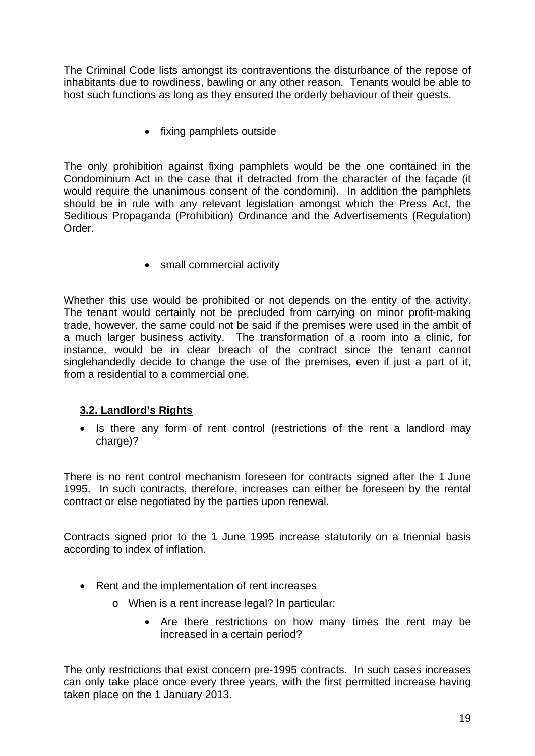The Criminal Code lists amongst its contraventions the disturbance of the repose of inhabitants due to rowdiness, bawling or any other reason. Tenants would be able to host such functions as long as they ensured the orderly behaviour of their guests.

• fixing pamphlets outside

The only prohibition against fixing pamphlets would be the one contained in the Condominium Act in the case that it detracted from the character of the façade (it would require the unanimous consent of the condomini). In addition the pamphlets should be in rule with any relevant legislation amongst which the Press Act, the Seditious Propaganda (Prohibition) Ordinance and the Advertisements (Regulation) Order.

• small commercial activity

Whether this use would be prohibited or not depends on the entity of the activity. The tenant would certainly not be precluded from carrying on minor profit-making trade, however, the same could not be said if the premises were used in the ambit of a much larger business activity. The transformation of a room into a clinic, for instance, would be in clear breach of the contract since the tenant cannot singlehandedly decide to change the use of the premises, even if just a part of it, from a residential to a commercial one.

#### **3.2. Landlord's Rights**

• Is there any form of rent control (restrictions of the rent a landlord may charge)?

There is no rent control mechanism foreseen for contracts signed after the 1 June 1995. In such contracts, therefore, increases can either be foreseen by the rental contract or else negotiated by the parties upon renewal.

Contracts signed prior to the 1 June 1995 increase statutorily on a triennial basis according to index of inflation.

- Rent and the implementation of rent increases
	- o When is a rent increase legal? In particular:
		- Are there restrictions on how many times the rent may be increased in a certain period?

The only restrictions that exist concern pre-1995 contracts. In such cases increases can only take place once every three years, with the first permitted increase having taken place on the 1 January 2013.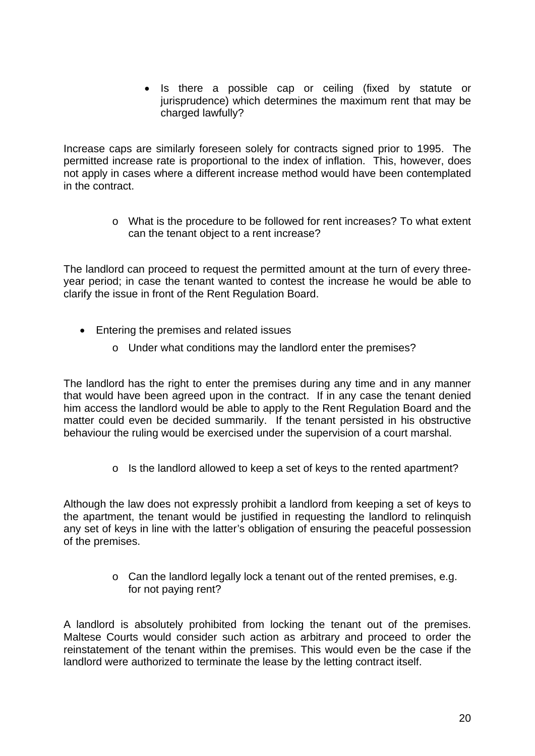• Is there a possible cap or ceiling (fixed by statute or jurisprudence) which determines the maximum rent that may be charged lawfully?

Increase caps are similarly foreseen solely for contracts signed prior to 1995. The permitted increase rate is proportional to the index of inflation. This, however, does not apply in cases where a different increase method would have been contemplated in the contract.

> o What is the procedure to be followed for rent increases? To what extent can the tenant object to a rent increase?

The landlord can proceed to request the permitted amount at the turn of every threeyear period; in case the tenant wanted to contest the increase he would be able to clarify the issue in front of the Rent Regulation Board.

- Entering the premises and related issues
	- o Under what conditions may the landlord enter the premises?

The landlord has the right to enter the premises during any time and in any manner that would have been agreed upon in the contract. If in any case the tenant denied him access the landlord would be able to apply to the Rent Regulation Board and the matter could even be decided summarily. If the tenant persisted in his obstructive behaviour the ruling would be exercised under the supervision of a court marshal.

o Is the landlord allowed to keep a set of keys to the rented apartment?

Although the law does not expressly prohibit a landlord from keeping a set of keys to the apartment, the tenant would be justified in requesting the landlord to relinquish any set of keys in line with the latter's obligation of ensuring the peaceful possession of the premises.

> o Can the landlord legally lock a tenant out of the rented premises, e.g. for not paying rent?

A landlord is absolutely prohibited from locking the tenant out of the premises. Maltese Courts would consider such action as arbitrary and proceed to order the reinstatement of the tenant within the premises. This would even be the case if the landlord were authorized to terminate the lease by the letting contract itself.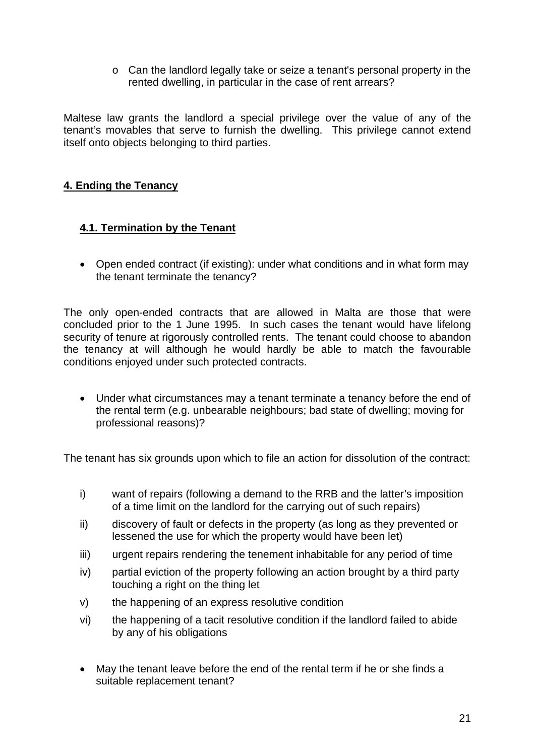o Can the landlord legally take or seize a tenant's personal property in the rented dwelling, in particular in the case of rent arrears?

Maltese law grants the landlord a special privilege over the value of any of the tenant's movables that serve to furnish the dwelling. This privilege cannot extend itself onto objects belonging to third parties.

#### **4. Ending the Tenancy**

#### **4.1. Termination by the Tenant**

• Open ended contract (if existing): under what conditions and in what form may the tenant terminate the tenancy?

The only open-ended contracts that are allowed in Malta are those that were concluded prior to the 1 June 1995. In such cases the tenant would have lifelong security of tenure at rigorously controlled rents. The tenant could choose to abandon the tenancy at will although he would hardly be able to match the favourable conditions enjoyed under such protected contracts.

 Under what circumstances may a tenant terminate a tenancy before the end of the rental term (e.g. unbearable neighbours; bad state of dwelling; moving for professional reasons)?

The tenant has six grounds upon which to file an action for dissolution of the contract:

- i) want of repairs (following a demand to the RRB and the latter's imposition of a time limit on the landlord for the carrying out of such repairs)
- ii) discovery of fault or defects in the property (as long as they prevented or lessened the use for which the property would have been let)
- iii) urgent repairs rendering the tenement inhabitable for any period of time
- iv) partial eviction of the property following an action brought by a third party touching a right on the thing let
- v) the happening of an express resolutive condition
- vi) the happening of a tacit resolutive condition if the landlord failed to abide by any of his obligations
- May the tenant leave before the end of the rental term if he or she finds a suitable replacement tenant?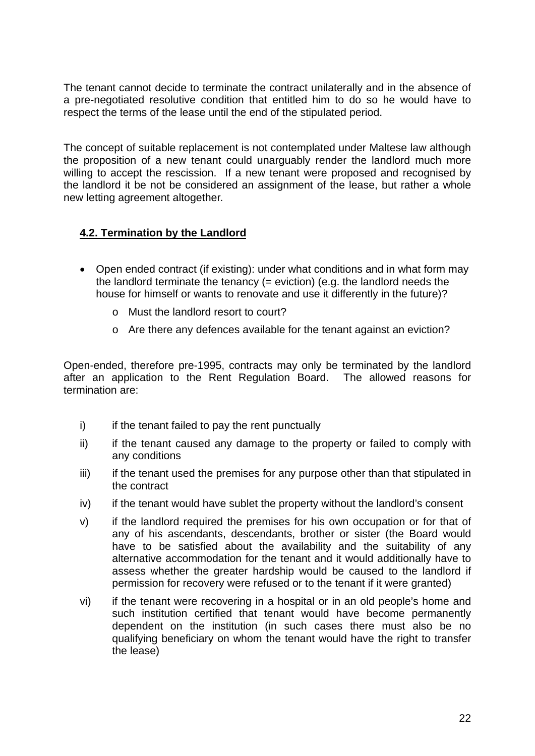The tenant cannot decide to terminate the contract unilaterally and in the absence of a pre-negotiated resolutive condition that entitled him to do so he would have to respect the terms of the lease until the end of the stipulated period.

The concept of suitable replacement is not contemplated under Maltese law although the proposition of a new tenant could unarguably render the landlord much more willing to accept the rescission. If a new tenant were proposed and recognised by the landlord it be not be considered an assignment of the lease, but rather a whole new letting agreement altogether.

#### **4.2. Termination by the Landlord**

- Open ended contract (if existing): under what conditions and in what form may the landlord terminate the tenancy (= eviction) (e.g. the landlord needs the house for himself or wants to renovate and use it differently in the future)?
	- o Must the landlord resort to court?
	- o Are there any defences available for the tenant against an eviction?

Open-ended, therefore pre-1995, contracts may only be terminated by the landlord after an application to the Rent Regulation Board. The allowed reasons for termination are:

- i) if the tenant failed to pay the rent punctually
- ii) if the tenant caused any damage to the property or failed to comply with any conditions
- iii) if the tenant used the premises for any purpose other than that stipulated in the contract
- iv) if the tenant would have sublet the property without the landlord's consent
- v) if the landlord required the premises for his own occupation or for that of any of his ascendants, descendants, brother or sister (the Board would have to be satisfied about the availability and the suitability of any alternative accommodation for the tenant and it would additionally have to assess whether the greater hardship would be caused to the landlord if permission for recovery were refused or to the tenant if it were granted)
- vi) if the tenant were recovering in a hospital or in an old people's home and such institution certified that tenant would have become permanently dependent on the institution (in such cases there must also be no qualifying beneficiary on whom the tenant would have the right to transfer the lease)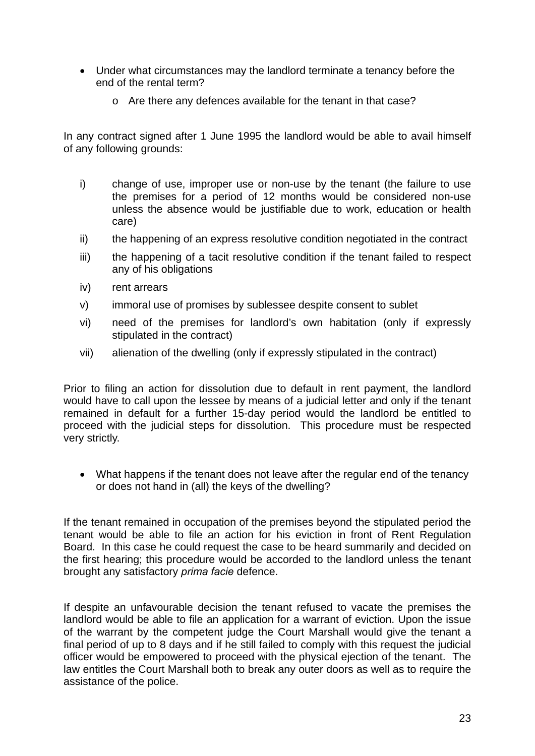- Under what circumstances may the landlord terminate a tenancy before the end of the rental term?
	- o Are there any defences available for the tenant in that case?

In any contract signed after 1 June 1995 the landlord would be able to avail himself of any following grounds:

- i) change of use, improper use or non-use by the tenant (the failure to use the premises for a period of 12 months would be considered non-use unless the absence would be justifiable due to work, education or health care)
- ii) the happening of an express resolutive condition negotiated in the contract
- iii) the happening of a tacit resolutive condition if the tenant failed to respect any of his obligations
- iv) rent arrears
- v) immoral use of promises by sublessee despite consent to sublet
- vi) need of the premises for landlord's own habitation (only if expressly stipulated in the contract)
- vii) alienation of the dwelling (only if expressly stipulated in the contract)

Prior to filing an action for dissolution due to default in rent payment, the landlord would have to call upon the lessee by means of a judicial letter and only if the tenant remained in default for a further 15-day period would the landlord be entitled to proceed with the judicial steps for dissolution. This procedure must be respected very strictly.

• What happens if the tenant does not leave after the regular end of the tenancy or does not hand in (all) the keys of the dwelling?

If the tenant remained in occupation of the premises beyond the stipulated period the tenant would be able to file an action for his eviction in front of Rent Regulation Board. In this case he could request the case to be heard summarily and decided on the first hearing; this procedure would be accorded to the landlord unless the tenant brought any satisfactory *prima facie* defence.

If despite an unfavourable decision the tenant refused to vacate the premises the landlord would be able to file an application for a warrant of eviction. Upon the issue of the warrant by the competent judge the Court Marshall would give the tenant a final period of up to 8 days and if he still failed to comply with this request the judicial officer would be empowered to proceed with the physical ejection of the tenant. The law entitles the Court Marshall both to break any outer doors as well as to require the assistance of the police.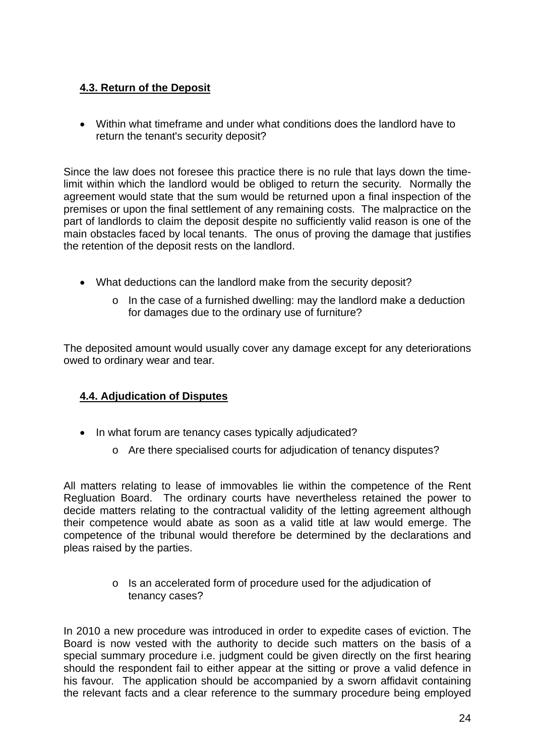#### **4.3. Return of the Deposit**

 Within what timeframe and under what conditions does the landlord have to return the tenant's security deposit?

Since the law does not foresee this practice there is no rule that lays down the timelimit within which the landlord would be obliged to return the security. Normally the agreement would state that the sum would be returned upon a final inspection of the premises or upon the final settlement of any remaining costs. The malpractice on the part of landlords to claim the deposit despite no sufficiently valid reason is one of the main obstacles faced by local tenants. The onus of proving the damage that justifies the retention of the deposit rests on the landlord.

- What deductions can the landlord make from the security deposit?
	- $\circ$  In the case of a furnished dwelling: may the landlord make a deduction for damages due to the ordinary use of furniture?

The deposited amount would usually cover any damage except for any deteriorations owed to ordinary wear and tear.

#### **4.4. Adjudication of Disputes**

- In what forum are tenancy cases typically adjudicated?
	- o Are there specialised courts for adjudication of tenancy disputes?

All matters relating to lease of immovables lie within the competence of the Rent Regluation Board. The ordinary courts have nevertheless retained the power to decide matters relating to the contractual validity of the letting agreement although their competence would abate as soon as a valid title at law would emerge. The competence of the tribunal would therefore be determined by the declarations and pleas raised by the parties.

> o Is an accelerated form of procedure used for the adjudication of tenancy cases?

In 2010 a new procedure was introduced in order to expedite cases of eviction. The Board is now vested with the authority to decide such matters on the basis of a special summary procedure i.e. judgment could be given directly on the first hearing should the respondent fail to either appear at the sitting or prove a valid defence in his favour. The application should be accompanied by a sworn affidavit containing the relevant facts and a clear reference to the summary procedure being employed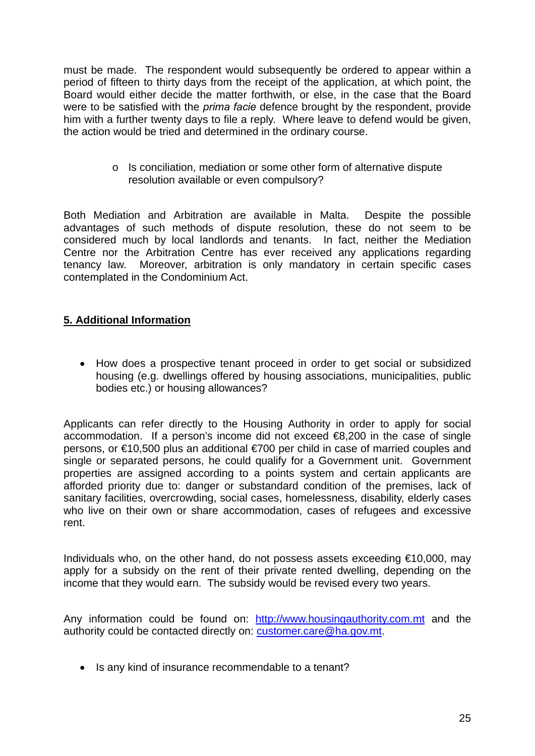must be made. The respondent would subsequently be ordered to appear within a period of fifteen to thirty days from the receipt of the application, at which point, the Board would either decide the matter forthwith, or else, in the case that the Board were to be satisfied with the *prima facie* defence brought by the respondent, provide him with a further twenty days to file a reply. Where leave to defend would be given, the action would be tried and determined in the ordinary course.

> o Is conciliation, mediation or some other form of alternative dispute resolution available or even compulsory?

Both Mediation and Arbitration are available in Malta. Despite the possible advantages of such methods of dispute resolution, these do not seem to be considered much by local landlords and tenants. In fact, neither the Mediation Centre nor the Arbitration Centre has ever received any applications regarding tenancy law. Moreover, arbitration is only mandatory in certain specific cases contemplated in the Condominium Act.

#### **5. Additional Information**

• How does a prospective tenant proceed in order to get social or subsidized housing (e.g. dwellings offered by housing associations, municipalities, public bodies etc.) or housing allowances?

Applicants can refer directly to the Housing Authority in order to apply for social accommodation. If a person's income did not exceed €8,200 in the case of single persons, or €10,500 plus an additional €700 per child in case of married couples and single or separated persons, he could qualify for a Government unit. Government properties are assigned according to a points system and certain applicants are afforded priority due to: danger or substandard condition of the premises, lack of sanitary facilities, overcrowding, social cases, homelessness, disability, elderly cases who live on their own or share accommodation, cases of refugees and excessive rent.

Individuals who, on the other hand, do not possess assets exceeding €10,000, may apply for a subsidy on the rent of their private rented dwelling, depending on the income that they would earn. The subsidy would be revised every two years.

Any information could be found on: http://www.housingauthority.com.mt and the authority could be contacted directly on: customer.care@ha.gov.mt.

• Is any kind of insurance recommendable to a tenant?